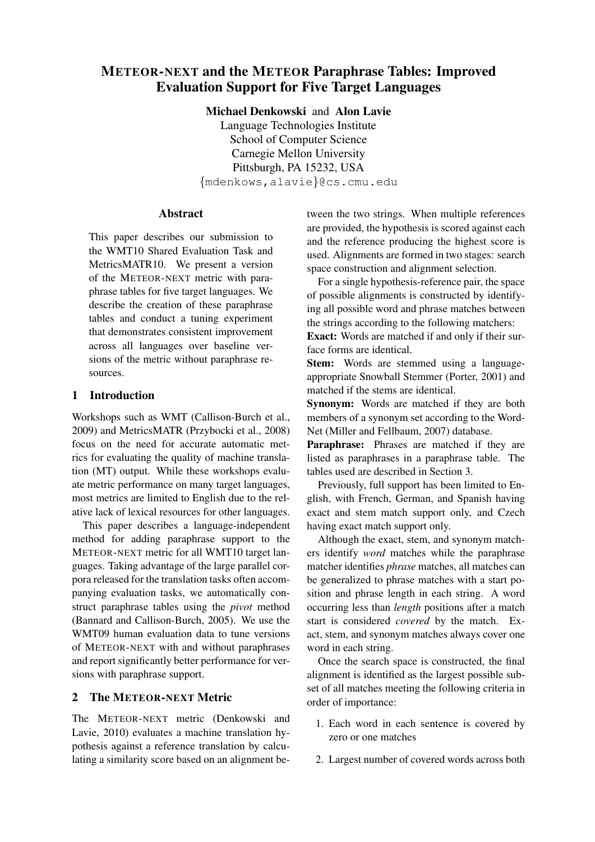# METEOR-NEXT and the METEOR Paraphrase Tables: Improved Evaluation Support for Five Target Languages

Michael Denkowski and Alon Lavie Language Technologies Institute School of Computer Science Carnegie Mellon University Pittsburgh, PA 15232, USA

{mdenkows,alavie}@cs.cmu.edu

## Abstract

This paper describes our submission to the WMT10 Shared Evaluation Task and MetricsMATR10. We present a version of the METEOR-NEXT metric with paraphrase tables for five target languages. We describe the creation of these paraphrase tables and conduct a tuning experiment that demonstrates consistent improvement across all languages over baseline versions of the metric without paraphrase resources.

## 1 Introduction

Workshops such as WMT (Callison-Burch et al., 2009) and MetricsMATR (Przybocki et al., 2008) focus on the need for accurate automatic metrics for evaluating the quality of machine translation (MT) output. While these workshops evaluate metric performance on many target languages, most metrics are limited to English due to the relative lack of lexical resources for other languages.

This paper describes a language-independent method for adding paraphrase support to the METEOR-NEXT metric for all WMT10 target languages. Taking advantage of the large parallel corpora released for the translation tasks often accompanying evaluation tasks, we automatically construct paraphrase tables using the *pivot* method (Bannard and Callison-Burch, 2005). We use the WMT09 human evaluation data to tune versions of METEOR-NEXT with and without paraphrases and report significantly better performance for versions with paraphrase support.

## 2 The METEOR-NEXT Metric

The METEOR-NEXT metric (Denkowski and Lavie, 2010) evaluates a machine translation hypothesis against a reference translation by calculating a similarity score based on an alignment between the two strings. When multiple references are provided, the hypothesis is scored against each and the reference producing the highest score is used. Alignments are formed in two stages: search space construction and alignment selection.

For a single hypothesis-reference pair, the space of possible alignments is constructed by identifying all possible word and phrase matches between the strings according to the following matchers:

Exact: Words are matched if and only if their surface forms are identical.

Stem: Words are stemmed using a languageappropriate Snowball Stemmer (Porter, 2001) and matched if the stems are identical.

Synonym: Words are matched if they are both members of a synonym set according to the Word-Net (Miller and Fellbaum, 2007) database.

Paraphrase: Phrases are matched if they are listed as paraphrases in a paraphrase table. The tables used are described in Section 3.

Previously, full support has been limited to English, with French, German, and Spanish having exact and stem match support only, and Czech having exact match support only.

Although the exact, stem, and synonym matchers identify *word* matches while the paraphrase matcher identifies *phrase* matches, all matches can be generalized to phrase matches with a start position and phrase length in each string. A word occurring less than *length* positions after a match start is considered *covered* by the match. Exact, stem, and synonym matches always cover one word in each string.

Once the search space is constructed, the final alignment is identified as the largest possible subset of all matches meeting the following criteria in order of importance:

- 1. Each word in each sentence is covered by zero or one matches
- 2. Largest number of covered words across both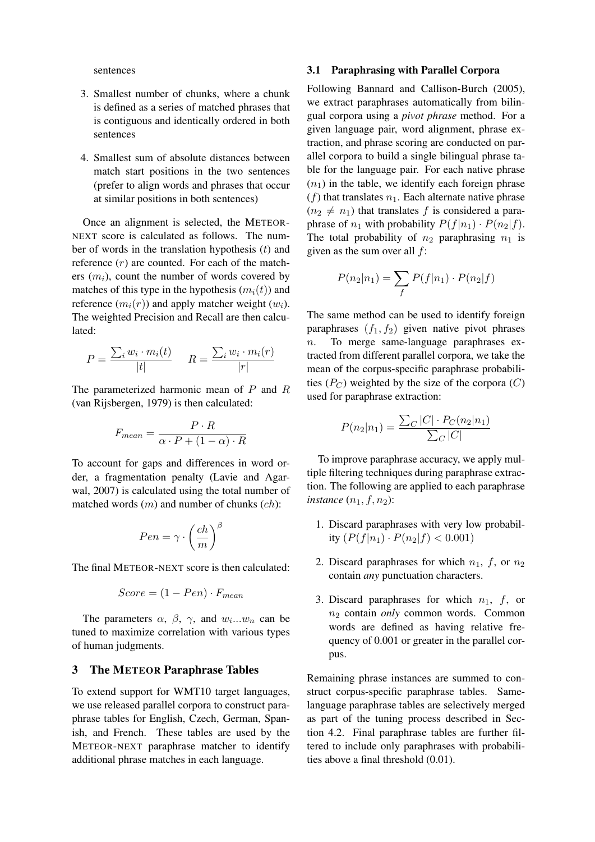sentences

- 3. Smallest number of chunks, where a chunk is defined as a series of matched phrases that is contiguous and identically ordered in both sentences
- 4. Smallest sum of absolute distances between match start positions in the two sentences (prefer to align words and phrases that occur at similar positions in both sentences)

Once an alignment is selected, the METEOR-NEXT score is calculated as follows. The number of words in the translation hypothesis  $(t)$  and reference  $(r)$  are counted. For each of the matchers  $(m_i)$ , count the number of words covered by matches of this type in the hypothesis  $(m_i(t))$  and reference  $(m_i(r))$  and apply matcher weight  $(w_i)$ . The weighted Precision and Recall are then calculated:

$$
P = \frac{\sum_{i} w_i \cdot m_i(t)}{|t|} \qquad R = \frac{\sum_{i} w_i \cdot m_i(r)}{|r|}
$$

The parameterized harmonic mean of P and R (van Rijsbergen, 1979) is then calculated:

$$
F_{mean} = \frac{P \cdot R}{\alpha \cdot P + (1 - \alpha) \cdot R}
$$

To account for gaps and differences in word order, a fragmentation penalty (Lavie and Agarwal, 2007) is calculated using the total number of matched words  $(m)$  and number of chunks  $(ch)$ :

$$
Pen = \gamma \cdot \left(\frac{ch}{m}\right)^{\beta}
$$

The final METEOR-NEXT score is then calculated:

$$
Score = (1 - Pen) \cdot F_{mean}
$$

The parameters  $\alpha$ ,  $\beta$ ,  $\gamma$ , and  $w_i...w_n$  can be tuned to maximize correlation with various types of human judgments.

#### 3 The METEOR Paraphrase Tables

To extend support for WMT10 target languages, we use released parallel corpora to construct paraphrase tables for English, Czech, German, Spanish, and French. These tables are used by the METEOR-NEXT paraphrase matcher to identify additional phrase matches in each language.

#### 3.1 Paraphrasing with Parallel Corpora

Following Bannard and Callison-Burch (2005), we extract paraphrases automatically from bilingual corpora using a *pivot phrase* method. For a given language pair, word alignment, phrase extraction, and phrase scoring are conducted on parallel corpora to build a single bilingual phrase table for the language pair. For each native phrase  $(n_1)$  in the table, we identify each foreign phrase  $(f)$  that translates  $n_1$ . Each alternate native phrase  $(n_2 \neq n_1)$  that translates f is considered a paraphrase of  $n_1$  with probability  $P(f|n_1) \cdot P(n_2|f)$ . The total probability of  $n_2$  paraphrasing  $n_1$  is given as the sum over all  $f$ :

$$
P(n_2|n_1) = \sum_f P(f|n_1) \cdot P(n_2|f)
$$

The same method can be used to identify foreign paraphrases  $(f_1, f_2)$  given native pivot phrases n. To merge same-language paraphrases extracted from different parallel corpora, we take the mean of the corpus-specific paraphrase probabilities  $(P_C)$  weighted by the size of the corpora  $(C)$ used for paraphrase extraction:

$$
P(n_2|n_1) = \frac{\sum_{C} |C| \cdot P_C(n_2|n_1)}{\sum_{C} |C|}
$$

To improve paraphrase accuracy, we apply multiple filtering techniques during paraphrase extraction. The following are applied to each paraphrase *instance*  $(n_1, f, n_2)$ *:* 

- 1. Discard paraphrases with very low probability  $(P(f|n_1) \cdot P(n_2|f) < 0.001)$
- 2. Discard paraphrases for which  $n_1$ , f, or  $n_2$ contain *any* punctuation characters.
- 3. Discard paraphrases for which  $n_1$ , f, or n<sup>2</sup> contain *only* common words. Common words are defined as having relative frequency of 0.001 or greater in the parallel corpus.

Remaining phrase instances are summed to construct corpus-specific paraphrase tables. Samelanguage paraphrase tables are selectively merged as part of the tuning process described in Section 4.2. Final paraphrase tables are further filtered to include only paraphrases with probabilities above a final threshold (0.01).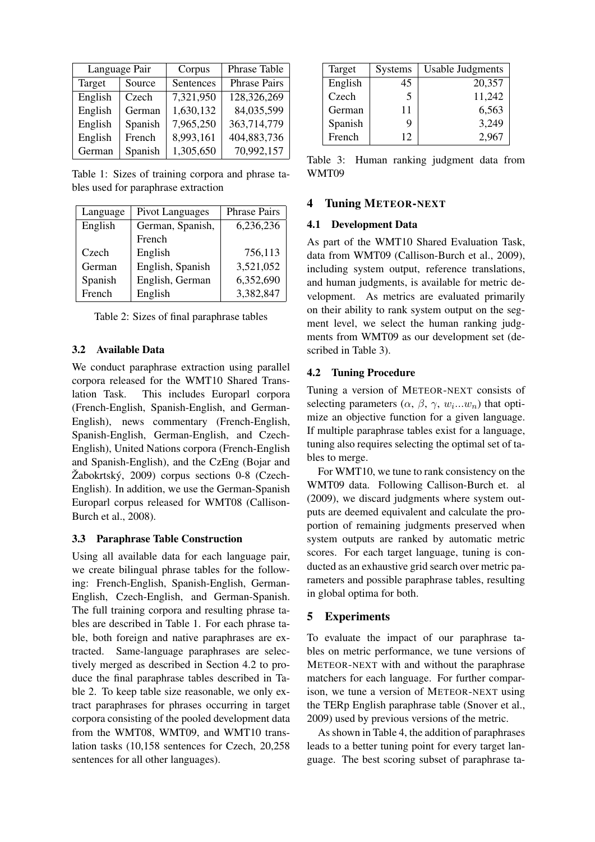| Language Pair |         | Corpus    | Phrase Table        |  |  |
|---------------|---------|-----------|---------------------|--|--|
| Target        | Source  | Sentences | <b>Phrase Pairs</b> |  |  |
| English       | Czech   | 7,321,950 | 128,326,269         |  |  |
| English       | German  | 1,630,132 | 84,035,599          |  |  |
| English       | Spanish | 7,965,250 | 363,714,779         |  |  |
| English       | French  | 8,993,161 | 404,883,736         |  |  |
| German        | Spanish | 1,305,650 | 70,992,157          |  |  |

Table 1: Sizes of training corpora and phrase tables used for paraphrase extraction

| Language | Pivot Languages  | <b>Phrase Pairs</b> |  |  |  |
|----------|------------------|---------------------|--|--|--|
| English  | German, Spanish, | 6,236,236           |  |  |  |
|          | French           |                     |  |  |  |
| Czech    | English          | 756,113             |  |  |  |
| German   | English, Spanish | 3,521,052           |  |  |  |
| Spanish  | English, German  | 6,352,690           |  |  |  |
| French   | English          | 3,382,847           |  |  |  |

Table 2: Sizes of final paraphrase tables

## 3.2 Available Data

We conduct paraphrase extraction using parallel corpora released for the WMT10 Shared Translation Task. This includes Europarl corpora (French-English, Spanish-English, and German-English), news commentary (French-English, Spanish-English, German-English, and Czech-English), United Nations corpora (French-English and Spanish-English), and the CzEng (Bojar and  $\check{Z}$ abokrtský, 2009) corpus sections 0-8 (Czech-English). In addition, we use the German-Spanish Europarl corpus released for WMT08 (Callison-Burch et al., 2008).

#### 3.3 Paraphrase Table Construction

Using all available data for each language pair, we create bilingual phrase tables for the following: French-English, Spanish-English, German-English, Czech-English, and German-Spanish. The full training corpora and resulting phrase tables are described in Table 1. For each phrase table, both foreign and native paraphrases are extracted. Same-language paraphrases are selectively merged as described in Section 4.2 to produce the final paraphrase tables described in Table 2. To keep table size reasonable, we only extract paraphrases for phrases occurring in target corpora consisting of the pooled development data from the WMT08, WMT09, and WMT10 translation tasks (10,158 sentences for Czech, 20,258 sentences for all other languages).

| Target  | <b>Systems</b> | <b>Usable Judgments</b> |
|---------|----------------|-------------------------|
| English | 45             | 20,357                  |
| Czech   | 5              | 11,242                  |
| German  | 11             | 6,563                   |
| Spanish | Q              | 3,249                   |
| French  | 12             | 2,967                   |

Table 3: Human ranking judgment data from WMT09

### 4 Tuning METEOR-NEXT

### 4.1 Development Data

As part of the WMT10 Shared Evaluation Task, data from WMT09 (Callison-Burch et al., 2009), including system output, reference translations, and human judgments, is available for metric development. As metrics are evaluated primarily on their ability to rank system output on the segment level, we select the human ranking judgments from WMT09 as our development set (described in Table 3).

#### 4.2 Tuning Procedure

Tuning a version of METEOR-NEXT consists of selecting parameters  $(\alpha, \beta, \gamma, w_i...w_n)$  that optimize an objective function for a given language. If multiple paraphrase tables exist for a language, tuning also requires selecting the optimal set of tables to merge.

For WMT10, we tune to rank consistency on the WMT09 data. Following Callison-Burch et. al (2009), we discard judgments where system outputs are deemed equivalent and calculate the proportion of remaining judgments preserved when system outputs are ranked by automatic metric scores. For each target language, tuning is conducted as an exhaustive grid search over metric parameters and possible paraphrase tables, resulting in global optima for both.

## 5 Experiments

To evaluate the impact of our paraphrase tables on metric performance, we tune versions of METEOR-NEXT with and without the paraphrase matchers for each language. For further comparison, we tune a version of METEOR-NEXT using the TERp English paraphrase table (Snover et al., 2009) used by previous versions of the metric.

As shown in Table 4, the addition of paraphrases leads to a better tuning point for every target language. The best scoring subset of paraphrase ta-